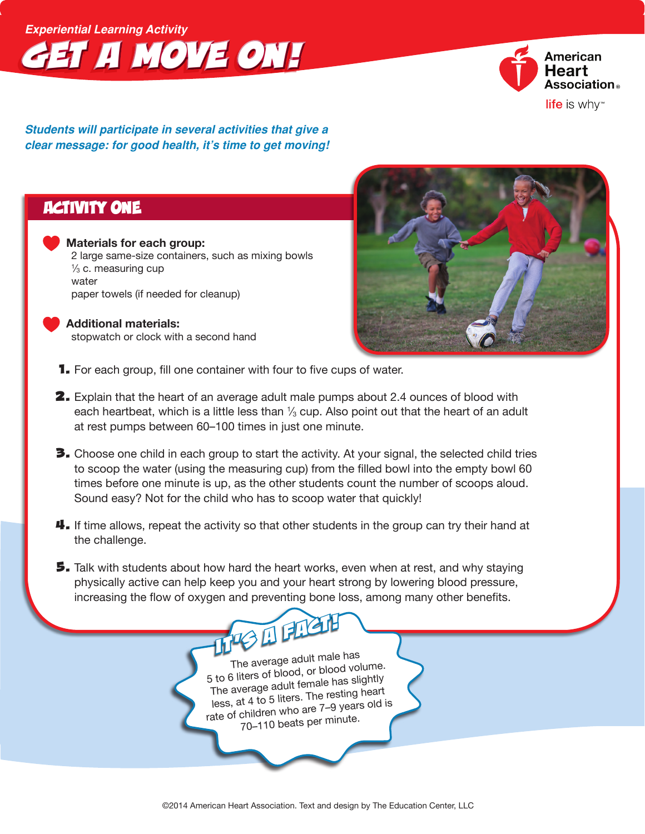## *Experiential Learning Activity Get a Move On!*



*Students will participate in several activities that give a clear message: for good health, it's time to get moving!*

### Activity One

 **Materials for each group:** 2 large same-size containers, such as mixing bowls 1 ⁄3 c. measuring cup water paper towels (if needed for cleanup)

#### **Additional materials:**

stopwatch or clock with a second hand



- **1.** For each group, fill one container with four to five cups of water.
- **2.** Explain that the heart of an average adult male pumps about 2.4 ounces of blood with each heartbeat, which is a little less than  $\%$  cup. Also point out that the heart of an adult at rest pumps between 60–100 times in just one minute.
- **3.** Choose one child in each group to start the activity. At your signal, the selected child tries to scoop the water (using the measuring cup) from the filled bowl into the empty bowl 60 times before one minute is up, as the other students count the number of scoops aloud. Sound easy? Not for the child who has to scoop water that quickly!
- $\frac{11}{2}$ . If time allows, repeat the activity so that other students in the group can try their hand at the challenge.
- **5.** Talk with students about how hard the heart works, even when at rest, and why staying physically active can help keep you and your heart strong by lowering blood pressure, increasing the flow of oxygen and preventing bone loss, among many other benefits.

The average adult male has <sup>5</sup> to <sup>6</sup> liters of blood, or blood volume. The average adult female has slightly less, at <sup>4</sup> to <sup>5</sup> liters. The resting heart rate of children who are 7–9 years old is 70–110 beats per minute.

*It's a Fact!*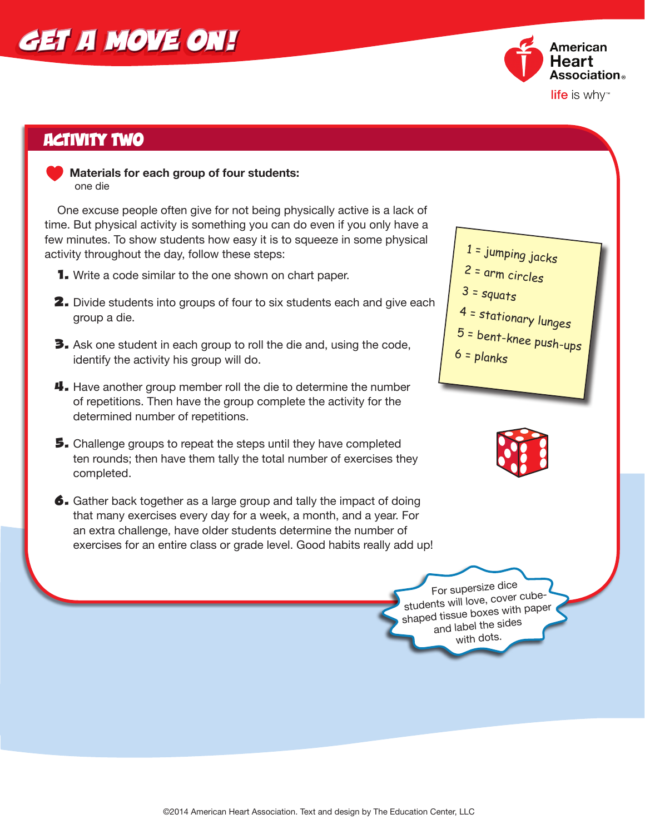# *Get a Move On!*



### Activity Two

 **Materials for each group of four students:**  one die

 One excuse people often give for not being physically active is a lack of time. But physical activity is something you can do even if you only have a few minutes. To show students how easy it is to squeeze in some physical activity throughout the day, follow these steps:

- **1.** Write a code similar to the one shown on chart paper.
- **2.** Divide students into groups of four to six students each and give each group a die.
- **3.** Ask one student in each group to roll the die and, using the code, identify the activity his group will do.
- **4.** Have another group member roll the die to determine the number of repetitions. Then have the group complete the activity for the determined number of repetitions.
- **5.** Challenge groups to repeat the steps until they have completed ten rounds; then have them tally the total number of exercises they completed.
- 6. Gather back together as a large group and tally the impact of doing that many exercises every day for a week, a month, and a year. For an extra challenge, have older students determine the number of exercises for an entire class or grade level. Good habits really add up!





For supersize dice students will love, cover cubeshaped tissue boxes with paper and label the sides with dots.